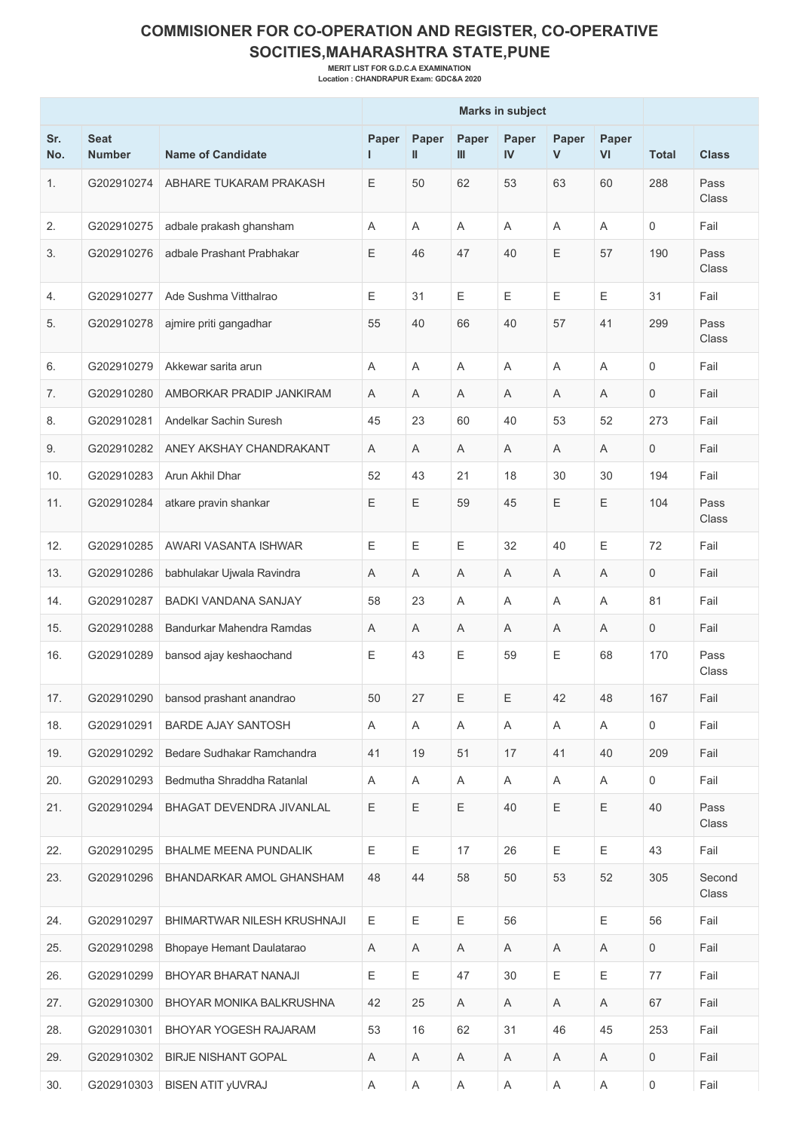## **COMMISIONER FOR CO-OPERATION AND REGISTER, CO-OPERATIVE SOCITIES,MAHARASHTRA STATE,PUNE**

**MERIT LIST FOR G.D.C.A EXAMINATION Location : CHANDRAPUR Exam: GDC&A 2020**

|            |                              |                                | <b>Marks in subject</b> |                           |            |                           |            |             |                     |                 |
|------------|------------------------------|--------------------------------|-------------------------|---------------------------|------------|---------------------------|------------|-------------|---------------------|-----------------|
| Sr.<br>No. | <b>Seat</b><br><b>Number</b> | <b>Name of Candidate</b>       | Paper                   | Paper<br>Ш                | Paper<br>Ш | Paper<br>IV               | Paper<br>V | Paper<br>VI | <b>Total</b>        | <b>Class</b>    |
| 1.         | G202910274                   | ABHARE TUKARAM PRAKASH         | Ε                       | 50                        | 62         | 53                        | 63         | 60          | 288                 | Pass<br>Class   |
| 2.         | G202910275                   | adbale prakash ghansham        | Α                       | A                         | Α          | A                         | Α          | A           | $\mathbf 0$         | Fail            |
| 3.         | G202910276                   | adbale Prashant Prabhakar      | Ε                       | 46                        | 47         | 40                        | E          | 57          | 190                 | Pass<br>Class   |
| 4.         | G202910277                   | Ade Sushma Vitthalrao          | Ε                       | 31                        | E          | Ε                         | E          | Ε           | 31                  | Fail            |
| 5.         | G202910278                   | ajmire priti gangadhar         | 55                      | 40                        | 66         | 40                        | 57         | 41          | 299                 | Pass<br>Class   |
| 6.         | G202910279                   | Akkewar sarita arun            | Α                       | A                         | A          | Α                         | A          | Α           | 0                   | Fail            |
| 7.         | G202910280                   | AMBORKAR PRADIP JANKIRAM       | Α                       | A                         | Α          | Α                         | Α          | A           | $\mathbf 0$         | Fail            |
| 8.         | G202910281                   | Andelkar Sachin Suresh         | 45                      | 23                        | 60         | 40                        | 53         | 52          | 273                 | Fail            |
| 9.         | G202910282                   | ANEY AKSHAY CHANDRAKANT        | A                       | A                         | Α          | A                         | Α          | A           | $\mathbf 0$         | Fail            |
| 10.        | G202910283                   | Arun Akhil Dhar                | 52                      | 43                        | 21         | 18                        | 30         | 30          | 194                 | Fail            |
| 11.        | G202910284                   | atkare pravin shankar          | Ε                       | Е                         | 59         | 45                        | Ε          | Ε           | 104                 | Pass<br>Class   |
| 12.        | G202910285                   | AWARI VASANTA ISHWAR           | Ε                       | Е                         | Ε          | 32                        | 40         | Е           | 72                  | Fail            |
| 13.        | G202910286                   | babhulakar Ujwala Ravindra     | Α                       | A                         | Α          | Α                         | Α          | Α           | 0                   | Fail            |
| 14.        | G202910287                   | <b>BADKI VANDANA SANJAY</b>    | 58                      | 23                        | Α          | Α                         | Α          | A           | 81                  | Fail            |
| 15.        | G202910288                   | Bandurkar Mahendra Ramdas      | Α                       | A                         | A          | Α                         | A          | Α           | $\mathbf 0$         | Fail            |
| 16.        | G202910289                   | bansod ajay keshaochand        | Ε                       | 43                        | E          | 59                        | E          | 68          | 170                 | Pass<br>Class   |
| 17.        | G202910290                   | bansod prashant anandrao       | 50                      | 27                        | Ε          | Ε                         | 42         | 48          | 167                 | Fail            |
| 18.        | G202910291                   | <b>BARDE AJAY SANTOSH</b>      | A                       | A                         | A          | A                         | A          | A           | $\mathsf{O}$        | Fail            |
| 19.        | G202910292                   | Bedare Sudhakar Ramchandra     | 41                      | 19                        | 51         | 17                        | 41         | 40          | 209                 | Fail            |
| 20.        | G202910293                   | Bedmutha Shraddha Ratanlal     | A                       | Α                         | A          | A                         | Α          | A           | $\mathbf 0$         | Fail            |
| 21.        | G202910294                   | BHAGAT DEVENDRA JIVANLAL       | Ε                       | Ε                         | Ε          | 40                        | Ε          | Ε           | 40                  | Pass<br>Class   |
| 22.        | G202910295                   | <b>BHALME MEENA PUNDALIK</b>   | Ε                       | Ε                         | 17         | 26                        | E          | Ε           | 43                  | Fail            |
| 23.        | G202910296                   | BHANDARKAR AMOL GHANSHAM       | 48                      | 44                        | 58         | 50                        | 53         | 52          | 305                 | Second<br>Class |
| 24.        | G202910297                   | BHIMARTWAR NILESH KRUSHNAJI    | E                       | Ε                         | E          | 56                        |            | Ε           | 56                  | Fail            |
| 25.        | G202910298                   | Bhopaye Hemant Daulatarao      | A                       | Α                         | A          | Α                         | A          | Α           | $\mathsf{O}$        | Fail            |
| 26.        | G202910299                   | BHOYAR BHARAT NANAJI           | Ε                       | Ε                         | 47         | 30                        | E          | Ε           | 77                  | Fail            |
| 27.        | G202910300                   | BHOYAR MONIKA BALKRUSHNA       | 42                      | 25                        | A          | A                         | A          | A           | 67                  | Fail            |
| 28.        | G202910301                   | BHOYAR YOGESH RAJARAM          | 53                      | 16                        | 62         | 31                        | 46         | 45          | 253                 | Fail            |
| 29.        | G202910302                   | <b>BIRJE NISHANT GOPAL</b>     | A                       | A                         | A          | A                         | A          | A           | 0                   | Fail            |
| 30.        |                              | G202910303   BISEN ATIT yUVRAJ | $\mathsf A$             | $\boldsymbol{\mathsf{A}}$ | A          | $\boldsymbol{\mathsf{A}}$ | A          | Α           | $\mathsf{O}\xspace$ | Fail            |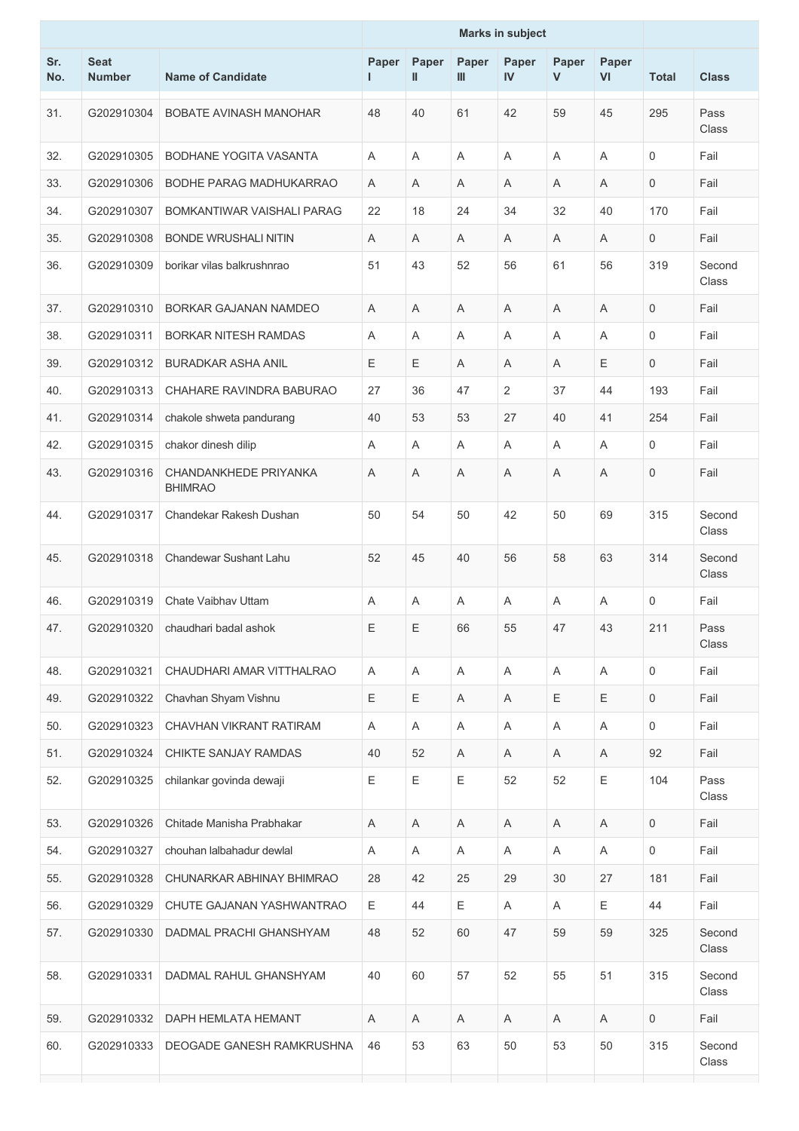|            |                              |                                         | <b>Marks in subject</b> |                       |              |                    |                       |             |              |                 |
|------------|------------------------------|-----------------------------------------|-------------------------|-----------------------|--------------|--------------------|-----------------------|-------------|--------------|-----------------|
| Sr.<br>No. | <b>Seat</b><br><b>Number</b> | <b>Name of Candidate</b>                | Paper<br>L.             | Paper<br>$\mathbf{I}$ | Paper<br>III | Paper<br><b>IV</b> | Paper<br>$\mathsf{V}$ | Paper<br>VI | <b>Total</b> | <b>Class</b>    |
| 31.        | G202910304                   | <b>BOBATE AVINASH MANOHAR</b>           | 48                      | 40                    | 61           | 42                 | 59                    | 45          | 295          | Pass<br>Class   |
| 32.        | G202910305                   | <b>BODHANE YOGITA VASANTA</b>           | Α                       | A                     | Α            | A                  | A                     | A           | 0            | Fail            |
| 33.        | G202910306                   | BODHE PARAG MADHUKARRAO                 | A                       | A                     | A            | A                  | A                     | A           | 0            | Fail            |
| 34.        | G202910307                   | BOMKANTIWAR VAISHALI PARAG              | 22                      | 18                    | 24           | 34                 | 32                    | 40          | 170          | Fail            |
| 35.        | G202910308                   | <b>BONDE WRUSHALI NITIN</b>             | Α                       | A                     | Α            | Α                  | Α                     | Α           | 0            | Fail            |
| 36.        | G202910309                   | borikar vilas balkrushnrao              | 51                      | 43                    | 52           | 56                 | 61                    | 56          | 319          | Second<br>Class |
| 37.        | G202910310                   | BORKAR GAJANAN NAMDEO                   | A                       | A                     | Α            | Α                  | A                     | A           | 0            | Fail            |
| 38.        | G202910311                   | <b>BORKAR NITESH RAMDAS</b>             | Α                       | A                     | Α            | A                  | Α                     | A           | 0            | Fail            |
| 39.        | G202910312                   | <b>BURADKAR ASHA ANIL</b>               | Е                       | Ε                     | Α            | A                  | Α                     | Ε           | 0            | Fail            |
| 40.        | G202910313                   | CHAHARE RAVINDRA BABURAO                | 27                      | 36                    | 47           | $\overline{2}$     | 37                    | 44          | 193          | Fail            |
| 41.        | G202910314                   | chakole shweta pandurang                | 40                      | 53                    | 53           | 27                 | 40                    | 41          | 254          | Fail            |
| 42.        | G202910315                   | chakor dinesh dilip                     | Α                       | A                     | A            | A                  | A                     | A           | 0            | Fail            |
| 43.        | G202910316                   | CHANDANKHEDE PRIYANKA<br><b>BHIMRAO</b> | Α                       | A                     | A            | A                  | A                     | A           | 0            | Fail            |
| 44.        | G202910317                   | Chandekar Rakesh Dushan                 | 50                      | 54                    | 50           | 42                 | 50                    | 69          | 315          | Second<br>Class |
| 45.        | G202910318                   | Chandewar Sushant Lahu                  | 52                      | 45                    | 40           | 56                 | 58                    | 63          | 314          | Second<br>Class |
| 46.        | G202910319                   | Chate Vaibhay Uttam                     | Α                       | A                     | Α            | A                  | Α                     | A           | 0            | Fail            |
| 47.        | G202910320                   | chaudhari badal ashok                   | E                       | $\mathsf E$           | 66           | 55                 | 47                    | 43          | 211          | Pass<br>Class   |
| 48.        | G202910321                   | CHAUDHARI AMAR VITTHALRAO               | Α                       | Α                     | Α            | Α                  | Α                     | Α           | 0            | Fail            |
| 49.        | G202910322                   | Chavhan Shyam Vishnu                    | Ε                       | $\mathsf E$           | A            | Α                  | Ε                     | $\mathsf E$ | $\mathbf 0$  | Fail            |
| 50.        | G202910323                   | CHAVHAN VIKRANT RATIRAM                 | A                       | A                     | A            | A                  | A                     | A           | 0            | Fail            |
| 51.        | G202910324                   | CHIKTE SANJAY RAMDAS                    | 40                      | 52                    | A            | Α                  | A                     | Α           | 92           | Fail            |
| 52.        | G202910325                   | chilankar govinda dewaji                | Ε                       | $\mathsf E$           | Ε            | 52                 | 52                    | Ε           | 104          | Pass<br>Class   |
| 53.        | G202910326                   | Chitade Manisha Prabhakar               | A                       | A                     | A            | A                  | A                     | A           | 0            | Fail            |
| 54.        | G202910327                   | chouhan lalbahadur dewlal               | Α                       | A                     | Α            | A                  | Α                     | A           | 0            | Fail            |
| 55.        | G202910328                   | CHUNARKAR ABHINAY BHIMRAO               | 28                      | 42                    | 25           | 29                 | 30                    | 27          | 181          | Fail            |
| 56.        | G202910329                   | CHUTE GAJANAN YASHWANTRAO               | Ε                       | 44                    | Е            | A                  | A                     | Ε           | 44           | Fail            |
| 57.        | G202910330                   | DADMAL PRACHI GHANSHYAM                 | 48                      | 52                    | 60           | 47                 | 59                    | 59          | 325          | Second<br>Class |
| 58.        | G202910331                   | DADMAL RAHUL GHANSHYAM                  | 40                      | 60                    | 57           | 52                 | 55                    | 51          | 315          | Second<br>Class |
| 59.        | G202910332                   | DAPH HEMLATA HEMANT                     | A                       | A                     | A            | A                  | A                     | A           | $\mathbf 0$  | Fail            |
| 60.        | G202910333                   | DEOGADE GANESH RAMKRUSHNA               | 46                      | 53                    | 63           | 50                 | 53                    | 50          | 315          | Second<br>Class |
|            |                              |                                         |                         |                       |              |                    |                       |             |              |                 |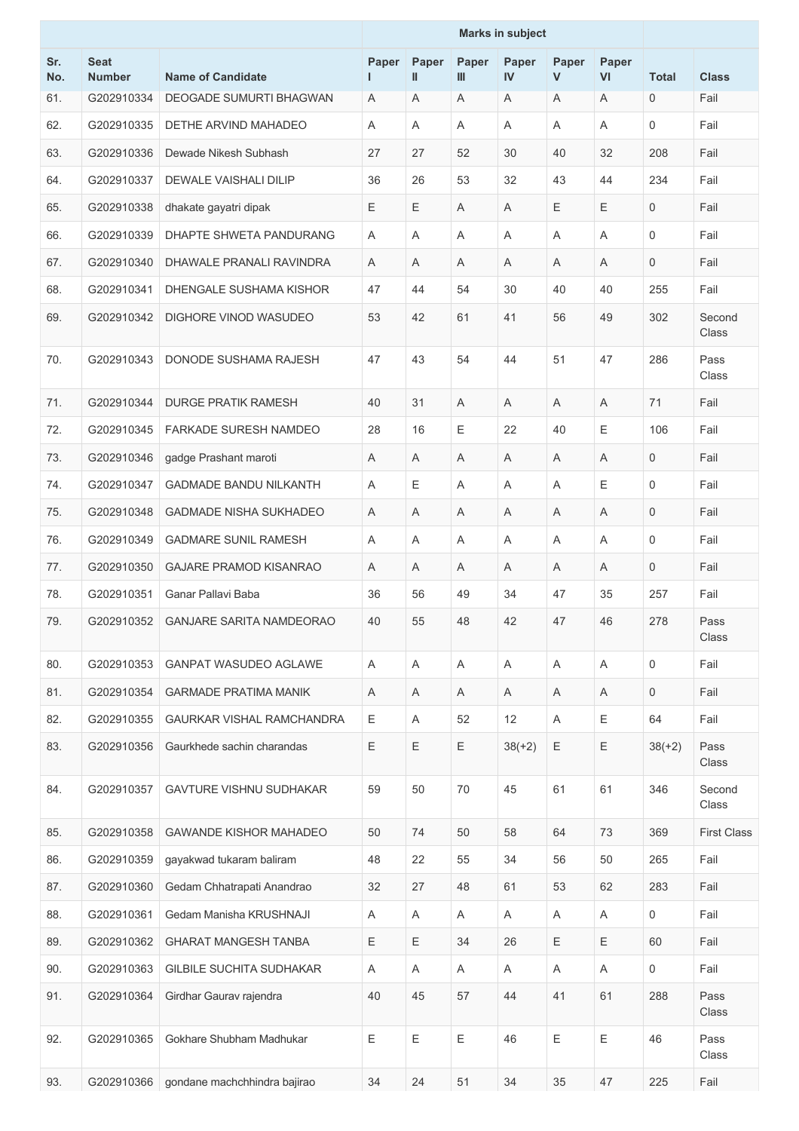|            |                              |                                 | <b>Marks in subject</b> |             |            |                           |                       |                           |              |                    |
|------------|------------------------------|---------------------------------|-------------------------|-------------|------------|---------------------------|-----------------------|---------------------------|--------------|--------------------|
| Sr.<br>No. | <b>Seat</b><br><b>Number</b> | <b>Name of Candidate</b>        | Paper<br>н              | Paper<br>Ш  | Paper<br>Ш | Paper<br>IV               | Paper<br>$\mathsf{V}$ | Paper<br>VI               | <b>Total</b> | <b>Class</b>       |
| 61.        | G202910334                   | <b>DEOGADE SUMURTI BHAGWAN</b>  | A                       | A           | Α          | A                         | Α                     | A                         | $\mathbf 0$  | Fail               |
| 62.        | G202910335                   | DETHE ARVIND MAHADEO            | Α                       | A           | A          | A                         | A                     | A                         | 0            | Fail               |
| 63.        | G202910336                   | Dewade Nikesh Subhash           | 27                      | 27          | 52         | 30                        | 40                    | 32                        | 208          | Fail               |
| 64.        | G202910337                   | DEWALE VAISHALI DILIP           | 36                      | 26          | 53         | 32                        | 43                    | 44                        | 234          | Fail               |
| 65.        | G202910338                   | dhakate gayatri dipak           | Е                       | Ε           | Α          | Α                         | Ε                     | Ε                         | 0            | Fail               |
| 66.        | G202910339                   | DHAPTE SHWETA PANDURANG         | Α                       | A           | Α          | A                         | Α                     | A                         | 0            | Fail               |
| 67.        | G202910340                   | DHAWALE PRANALI RAVINDRA        | Α                       | A           | A          | A                         | A                     | A                         | 0            | Fail               |
| 68.        | G202910341                   | DHENGALE SUSHAMA KISHOR         | 47                      | 44          | 54         | 30                        | 40                    | 40                        | 255          | Fail               |
| 69.        | G202910342                   | DIGHORE VINOD WASUDEO           | 53                      | 42          | 61         | 41                        | 56                    | 49                        | 302          | Second<br>Class    |
| 70.        | G202910343                   | DONODE SUSHAMA RAJESH           | 47                      | 43          | 54         | 44                        | 51                    | 47                        | 286          | Pass<br>Class      |
| 71.        | G202910344                   | <b>DURGE PRATIK RAMESH</b>      | 40                      | 31          | A          | A                         | A                     | A                         | 71           | Fail               |
| 72.        | G202910345                   | <b>FARKADE SURESH NAMDEO</b>    | 28                      | 16          | E          | 22                        | 40                    | E                         | 106          | Fail               |
| 73.        | G202910346                   | gadge Prashant maroti           | A                       | A           | Α          | A                         | Α                     | A                         | 0            | Fail               |
| 74.        | G202910347                   | <b>GADMADE BANDU NILKANTH</b>   | Α                       | Ε           | Α          | Α                         | Α                     | E                         | 0            | Fail               |
| 75.        | G202910348                   | <b>GADMADE NISHA SUKHADEO</b>   | Α                       | A           | Α          | A                         | Α                     | A                         | 0            | Fail               |
| 76.        | G202910349                   | <b>GADMARE SUNIL RAMESH</b>     | Α                       | Α           | A          | A                         | A                     | Α                         | 0            | Fail               |
| 77.        | G202910350                   | <b>GAJARE PRAMOD KISANRAO</b>   | Α                       | A           | A          | A                         | A                     | A                         | 0            | Fail               |
| 78.        | G202910351                   | Ganar Pallavi Baba              | 36                      | 56          | 49         | 34                        | 47                    | 35                        | 257          | Fail               |
| 79.        | G202910352                   | <b>GANJARE SARITA NAMDEORAO</b> | 40                      | 55          | 48         | 42                        | 47                    | 46                        | 278          | Pass<br>Class      |
| 80.        | G202910353                   | <b>GANPAT WASUDEO AGLAWE</b>    | Α                       | A           | A          | A                         | A                     | A                         | $\mathbf 0$  | Fail               |
| 81.        | G202910354                   | <b>GARMADE PRATIMA MANIK</b>    | A                       | A           | A          | Α                         | Α                     | Α                         | 0            | Fail               |
| 82.        | G202910355                   | GAURKAR VISHAL RAMCHANDRA       | Ε                       | A           | 52         | 12                        | Α                     | $\mathsf E$               | 64           | Fail               |
| 83.        | G202910356                   | Gaurkhede sachin charandas      | Ε                       | $\mathsf E$ | Ε          | $38(+2)$                  | Ε                     | $\mathsf E$               | $38(+2)$     | Pass<br>Class      |
| 84.        | G202910357                   | <b>GAVTURE VISHNU SUDHAKAR</b>  | 59                      | 50          | 70         | 45                        | 61                    | 61                        | 346          | Second<br>Class    |
| 85.        | G202910358                   | <b>GAWANDE KISHOR MAHADEO</b>   | 50                      | 74          | 50         | 58                        | 64                    | 73                        | 369          | <b>First Class</b> |
| 86.        | G202910359                   | gayakwad tukaram baliram        | 48                      | 22          | 55         | 34                        | 56                    | 50                        | 265          | Fail               |
| 87.        | G202910360                   | Gedam Chhatrapati Anandrao      | 32                      | 27          | 48         | 61                        | 53                    | 62                        | 283          | Fail               |
| 88.        | G202910361                   | Gedam Manisha KRUSHNAJI         | Α                       | Α           | Α          | $\boldsymbol{\mathsf{A}}$ | Α                     | $\boldsymbol{\mathsf{A}}$ | 0            | Fail               |
| 89.        | G202910362                   | <b>GHARAT MANGESH TANBA</b>     | Ε                       | $\mathsf E$ | 34         | 26                        | Ε                     | Ε                         | 60           | Fail               |
| 90.        | G202910363                   | <b>GILBILE SUCHITA SUDHAKAR</b> | Α                       | A           | Α          | A                         | Α                     | $\mathsf A$               | 0            | Fail               |
| 91.        | G202910364                   | Girdhar Gaurav rajendra         | 40                      | 45          | 57         | 44                        | 41                    | 61                        | 288          | Pass<br>Class      |
| 92.        | G202910365                   | Gokhare Shubham Madhukar        | Ε                       | $\mathsf E$ | Ε          | 46                        | Ε                     | Ε                         | 46           | Pass<br>Class      |
| 93.        | G202910366                   | gondane machchhindra bajirao    | 34                      | 24          | 51         | 34                        | 35                    | 47                        | 225          | Fail               |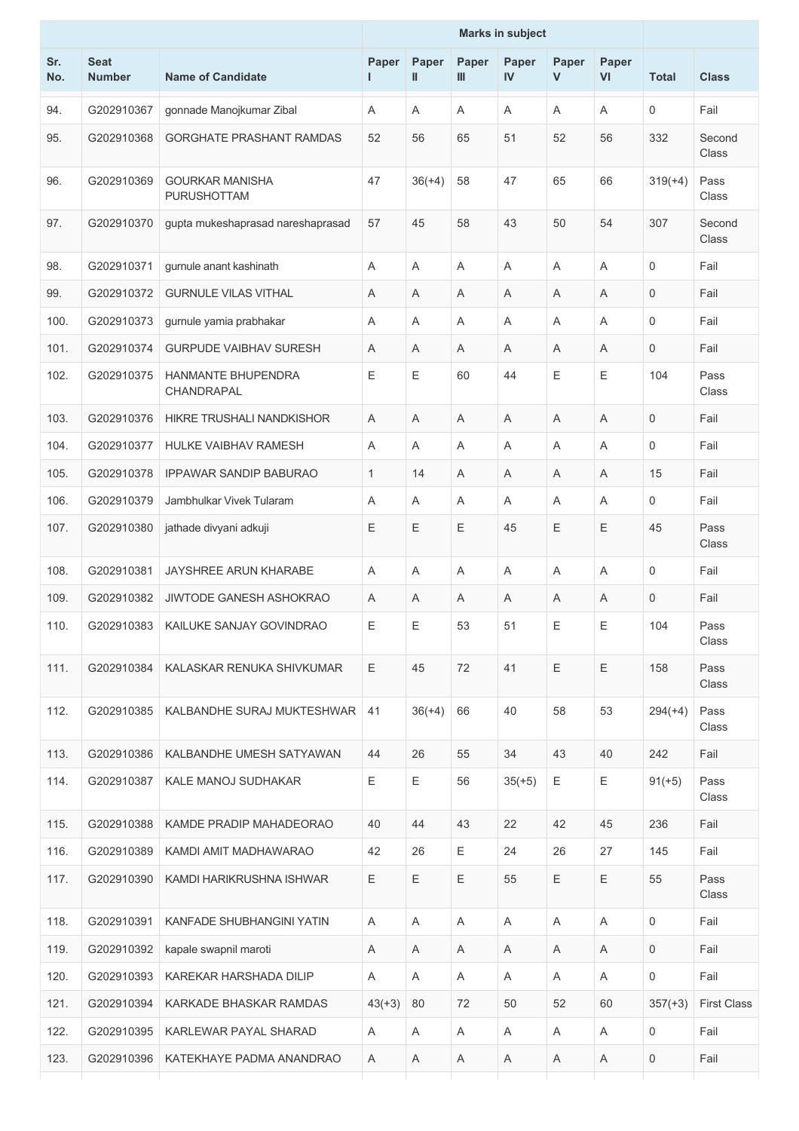| Sr.<br>No. | <b>Seat</b><br><b>Number</b> | <b>Name of Candidate</b>                | Paper    | Paper<br>Ш | Paper<br>Ш | Paper<br>IV | Paper<br>V | Paper<br>VI | <b>Total</b> | <b>Class</b>       |
|------------|------------------------------|-----------------------------------------|----------|------------|------------|-------------|------------|-------------|--------------|--------------------|
| 94.        | G202910367                   | gonnade Manojkumar Zibal                | A        | Α          | A          | A           | A          | A           | $\mathbf 0$  | Fail               |
| 95.        | G202910368                   | <b>GORGHATE PRASHANT RAMDAS</b>         | 52       | 56         | 65         | 51          | 52         | 56          | 332          | Second<br>Class    |
| 96.        | G202910369                   | <b>GOURKAR MANISHA</b><br>PURUSHOTTAM   | 47       | $36(+4)$   | 58         | 47          | 65         | 66          | $319(+4)$    | Pass<br>Class      |
| 97.        | G202910370                   | gupta mukeshaprasad nareshaprasad       | 57       | 45         | 58         | 43          | 50         | 54          | 307          | Second<br>Class    |
| 98.        | G202910371                   | gurnule anant kashinath                 | Α        | Α          | Α          | A           | A          | Α           | $\mathbf 0$  | Fail               |
| 99.        | G202910372                   | <b>GURNULE VILAS VITHAL</b>             | Α        | Α          | Α          | A           | Α          | A           | $\mathbf 0$  | Fail               |
| 100.       | G202910373                   | gurnule yamia prabhakar                 | Α        | Α          | Α          | Α           | Α          | A           | $\mathbf 0$  | Fail               |
| 101.       | G202910374                   | <b>GURPUDE VAIBHAV SURESH</b>           | A        | Α          | Α          | A           | Α          | A           | 0            | Fail               |
| 102.       | G202910375                   | <b>HANMANTE BHUPENDRA</b><br>CHANDRAPAL | Ε        | Ε          | 60         | 44          | Ε          | $\mathsf E$ | 104          | Pass<br>Class      |
| 103.       | G202910376                   | HIKRE TRUSHALI NANDKISHOR               | Α        | Α          | Α          | Α           | A          | Α           | 0            | Fail               |
| 104.       | G202910377                   | HULKE VAIBHAV RAMESH                    | Α        | Α          | Α          | Α           | Α          | A           | $\mathbf 0$  | Fail               |
| 105.       | G202910378                   | <b>IPPAWAR SANDIP BABURAO</b>           | 1        | 14         | Α          | A           | Α          | A           | 15           | Fail               |
| 106.       | G202910379                   | Jambhulkar Vivek Tularam                | Α        | Α          | Α          | A           | Α          | A           | 0            | Fail               |
| 107.       | G202910380                   | jathade divyani adkuji                  | Ε        | Ε          | Ε          | 45          | Ε          | Ε           | 45           | Pass<br>Class      |
| 108.       | G202910381                   | JAYSHREE ARUN KHARABE                   | A        | Α          | Α          | A           | Α          | A           | $\mathbf 0$  | Fail               |
| 109.       | G202910382                   | <b>JIWTODE GANESH ASHOKRAO</b>          | Α        | Α          | Α          | A           | Α          | Α           | 0            | Fail               |
| 110.       | G202910383                   | KAILUKE SANJAY GOVINDRAO                | Ε        | Ε          | 53         | 51          | Ε          | Ε           | 104          | Pass<br>Class      |
| 111.       | G202910384                   | KALASKAR RENUKA SHIVKUMAR               | Е        | 45         | 72         | 41          | E          | E           | 158          | Pass<br>Class      |
| 112.       | G202910385                   | KALBANDHE SURAJ MUKTESHWAR              | 41       | $36(+4)$   | 66         | 40          | 58         | 53          | $294(+4)$    | Pass<br>Class      |
| 113.       | G202910386                   | KALBANDHE UMESH SATYAWAN                | 44       | 26         | 55         | 34          | 43         | 40          | 242          | Fail               |
| 114.       | G202910387                   | <b>KALE MANOJ SUDHAKAR</b>              | E        | Е          | 56         | $35(+5)$    | Ε          | Е           | $91(+5)$     | Pass<br>Class      |
| 115.       | G202910388                   | KAMDE PRADIP MAHADEORAO                 | 40       | 44         | 43         | 22          | 42         | 45          | 236          | Fail               |
| 116.       | G202910389                   | KAMDI AMIT MADHAWARAO                   | 42       | 26         | Ε          | 24          | 26         | 27          | 145          | Fail               |
| 117.       | G202910390                   | KAMDI HARIKRUSHNA ISHWAR                | E        | Е          | Е          | 55          | Е          | Ε           | 55           | Pass<br>Class      |
| 118.       | G202910391                   | KANFADE SHUBHANGINI YATIN               | Α        | Α          | A          | A           | A          | Α           | $\mathbf 0$  | Fail               |
| 119.       | G202910392                   | kapale swapnil maroti                   | A        | Α          | A          | A           | A          | A           | 0            | Fail               |
| 120.       | G202910393                   | KAREKAR HARSHADA DILIP                  | Α        | Α          | A          | A           | A          | Α           | 0            | Fail               |
| 121.       | G202910394                   | KARKADE BHASKAR RAMDAS                  | $43(+3)$ | 80         | 72         | 50          | 52         | 60          | $357(+3)$    | <b>First Class</b> |
| 122.       | G202910395                   | KARLEWAR PAYAL SHARAD                   | A        | Α          | A          | A           | A          | A           | 0            | Fail               |
| 123.       | G202910396                   | KATEKHAYE PADMA ANANDRAO                | Α        | Α          | Α          | Α           | A          | Α           | 0            | Fail               |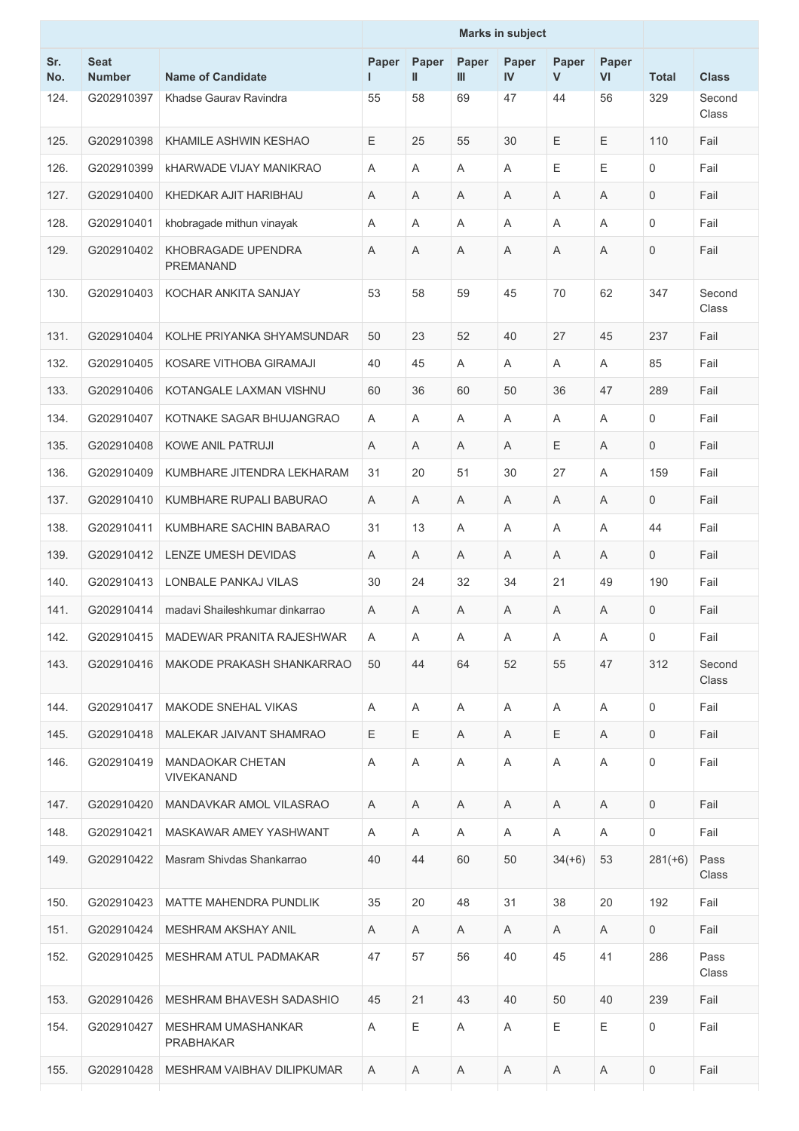|            |                              |                                               | <b>Marks in subject</b> |                       |            |                    |                       |             |                     |                 |
|------------|------------------------------|-----------------------------------------------|-------------------------|-----------------------|------------|--------------------|-----------------------|-------------|---------------------|-----------------|
| Sr.<br>No. | <b>Seat</b><br><b>Number</b> | <b>Name of Candidate</b>                      | Paper<br>ш              | Paper<br>$\mathbf{I}$ | Paper<br>Ш | Paper<br><b>IV</b> | Paper<br>$\mathsf{V}$ | Paper<br>VI | <b>Total</b>        | <b>Class</b>    |
| 124.       | G202910397                   | Khadse Gauray Ravindra                        | 55                      | 58                    | 69         | 47                 | 44                    | 56          | 329                 | Second<br>Class |
| 125.       | G202910398                   | KHAMILE ASHWIN KESHAO                         | Ε                       | 25                    | 55         | 30                 | E                     | Ε           | 110                 | Fail            |
| 126.       | G202910399                   | <b>KHARWADE VIJAY MANIKRAO</b>                | Α                       | A                     | A          | A                  | Ε                     | E           | $\mathbf 0$         | Fail            |
| 127.       | G202910400                   | KHEDKAR AJIT HARIBHAU                         | A                       | Α                     | Α          | A                  | Α                     | A           | $\mathbf 0$         | Fail            |
| 128.       | G202910401                   | khobragade mithun vinayak                     | Α                       | A                     | A          | A                  | A                     | A           | $\mathbf 0$         | Fail            |
| 129.       | G202910402                   | KHOBRAGADE UPENDRA<br><b>PREMANAND</b>        | Α                       | Α                     | Α          | Α                  | Α                     | Α           | $\mathbf 0$         | Fail            |
| 130.       | G202910403                   | KOCHAR ANKITA SANJAY                          | 53                      | 58                    | 59         | 45                 | 70                    | 62          | 347                 | Second<br>Class |
| 131.       | G202910404                   | KOLHE PRIYANKA SHYAMSUNDAR                    | 50                      | 23                    | 52         | 40                 | 27                    | 45          | 237                 | Fail            |
| 132.       | G202910405                   | KOSARE VITHOBA GIRAMAJI                       | 40                      | 45                    | Α          | A                  | Α                     | A           | 85                  | Fail            |
| 133.       | G202910406                   | KOTANGALE LAXMAN VISHNU                       | 60                      | 36                    | 60         | 50                 | 36                    | 47          | 289                 | Fail            |
| 134.       | G202910407                   | KOTNAKE SAGAR BHUJANGRAO                      | Α                       | Α                     | Α          | Α                  | Α                     | A           | 0                   | Fail            |
| 135.       | G202910408                   | <b>KOWE ANIL PATRUJI</b>                      | Α                       | A                     | Α          | A                  | E                     | A           | $\mathbf 0$         | Fail            |
| 136.       | G202910409                   | KUMBHARE JITENDRA LEKHARAM                    | 31                      | 20                    | 51         | 30                 | 27                    | A           | 159                 | Fail            |
| 137.       | G202910410                   | KUMBHARE RUPALI BABURAO                       | Α                       | A                     | Α          | Α                  | Α                     | A           | $\mathbf 0$         | Fail            |
| 138.       | G202910411                   | KUMBHARE SACHIN BABARAO                       | 31                      | 13                    | Α          | A                  | Α                     | Α           | 44                  | Fail            |
| 139.       | G202910412                   | LENZE UMESH DEVIDAS                           | Α                       | A                     | Α          | A                  | Α                     | A           | $\mathbf 0$         | Fail            |
| 140.       | G202910413                   | LONBALE PANKAJ VILAS                          | 30                      | 24                    | 32         | 34                 | 21                    | 49          | 190                 | Fail            |
| 141.       | G202910414                   | madavi Shaileshkumar dinkarrao                | Α                       | A                     | A          | A                  | A                     | A           | $\mathbf 0$         | Fail            |
| 142.       | G202910415                   | MADEWAR PRANITA RAJESHWAR                     | A                       | Α                     | A          | A                  | A                     | A           | $\mathsf{O}\xspace$ | Fail            |
| 143.       | G202910416                   | MAKODE PRAKASH SHANKARRAO                     | 50                      | 44                    | 64         | 52                 | 55                    | 47          | 312                 | Second<br>Class |
| 144.       | G202910417                   | <b>MAKODE SNEHAL VIKAS</b>                    | Α                       | A                     | A          | A                  | A                     | A           | $\Omega$            | Fail            |
| 145.       | G202910418                   | MALEKAR JAIVANT SHAMRAO                       | Е                       | Ε                     | A          | A                  | Е                     | A           | 0                   | Fail            |
| 146.       | G202910419                   | <b>MANDAOKAR CHETAN</b><br><b>VIVEKANAND</b>  | Α                       | Α                     | Α          | Α                  | Α                     | Α           | 0                   | Fail            |
| 147.       | G202910420                   | MANDAVKAR AMOL VILASRAO                       | A                       | A                     | A          | A                  | A                     | A           | $\mathbf 0$         | Fail            |
| 148.       | G202910421                   | MASKAWAR AMEY YASHWANT                        | A                       | A                     | A          | A                  | A                     | Α           | 0                   | Fail            |
| 149.       | G202910422                   | Masram Shivdas Shankarrao                     | 40                      | 44                    | 60         | 50                 | $34(+6)$              | 53          | $281(+6)$           | Pass<br>Class   |
| 150.       | G202910423                   | MATTE MAHENDRA PUNDLIK                        | 35                      | 20                    | 48         | 31                 | 38                    | 20          | 192                 | Fail            |
| 151.       | G202910424                   | MESHRAM AKSHAY ANIL                           | A                       | A                     | A          | A                  | A                     | Α           | $\mathbf{0}$        | Fail            |
| 152.       | G202910425                   | MESHRAM ATUL PADMAKAR                         | 47                      | 57                    | 56         | 40                 | 45                    | 41          | 286                 | Pass<br>Class   |
| 153.       | G202910426                   | MESHRAM BHAVESH SADASHIO                      | 45                      | 21                    | 43         | 40                 | 50                    | 40          | 239                 | Fail            |
| 154.       | G202910427                   | <b>MESHRAM UMASHANKAR</b><br><b>PRABHAKAR</b> | Α                       | Е                     | A          | Α                  | Е                     | Е           | $\mathbf 0$         | Fail            |
| 155.       | G202910428                   | MESHRAM VAIBHAV DILIPKUMAR                    | A                       | A                     | A          | A                  | A                     | A           | 0                   | Fail            |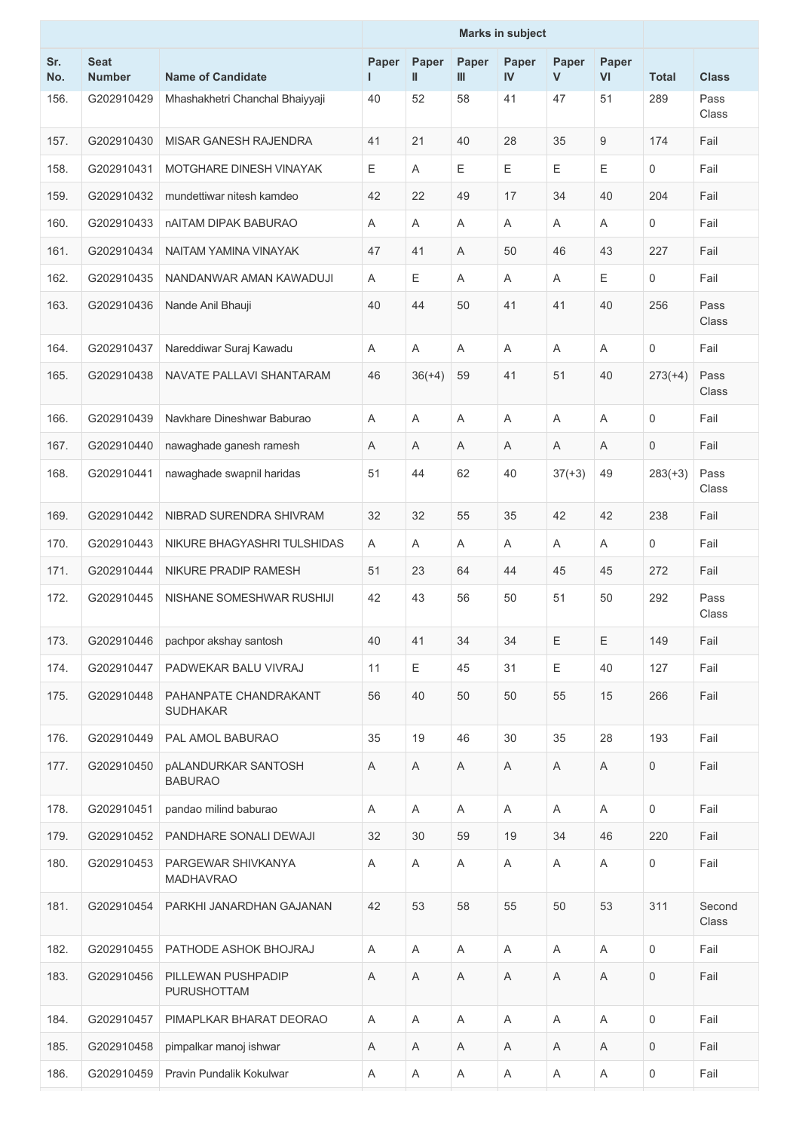| Sr.<br>No. | <b>Seat</b><br><b>Number</b> | <b>Name of Candidate</b>                     | Paper<br>ш | Paper<br>$\mathbf{I}$ | Paper<br>Ш | Paper<br>IV | Paper<br>$\mathsf{V}$ | Paper<br>VI | <b>Total</b> | <b>Class</b>    |
|------------|------------------------------|----------------------------------------------|------------|-----------------------|------------|-------------|-----------------------|-------------|--------------|-----------------|
| 156.       | G202910429                   | Mhashakhetri Chanchal Bhaiyyaji              | 40         | 52                    | 58         | 41          | 47                    | 51          | 289          | Pass<br>Class   |
| 157.       | G202910430                   | MISAR GANESH RAJENDRA                        | 41         | 21                    | 40         | 28          | 35                    | 9           | 174          | Fail            |
| 158.       | G202910431                   | MOTGHARE DINESH VINAYAK                      | Е          | A                     | E          | E           | E                     | Ε           | 0            | Fail            |
| 159.       | G202910432                   | mundettiwar nitesh kamdeo                    | 42         | 22                    | 49         | 17          | 34                    | 40          | 204          | Fail            |
| 160.       | G202910433                   | nAITAM DIPAK BABURAO                         | Α          | A                     | Α          | A           | Α                     | A           | 0            | Fail            |
| 161.       | G202910434                   | NAITAM YAMINA VINAYAK                        | 47         | 41                    | A          | 50          | 46                    | 43          | 227          | Fail            |
| 162.       | G202910435                   | NANDANWAR AMAN KAWADUJI                      | Α          | Е                     | A          | A           | A                     | Е           | 0            | Fail            |
| 163.       | G202910436                   | Nande Anil Bhauji                            | 40         | 44                    | 50         | 41          | 41                    | 40          | 256          | Pass<br>Class   |
| 164.       | G202910437                   | Nareddiwar Suraj Kawadu                      | Α          | A                     | Α          | A           | Α                     | A           | 0            | Fail            |
| 165.       | G202910438                   | NAVATE PALLAVI SHANTARAM                     | 46         | $36(+4)$              | 59         | 41          | 51                    | 40          | $273(+4)$    | Pass<br>Class   |
| 166.       | G202910439                   | Navkhare Dineshwar Baburao                   | Α          | A                     | Α          | A           | A                     | A           | 0            | Fail            |
| 167.       | G202910440                   | nawaghade ganesh ramesh                      | Α          | A                     | Α          | A           | A                     | A           | 0            | Fail            |
| 168.       | G202910441                   | nawaghade swapnil haridas                    | 51         | 44                    | 62         | 40          | $37(+3)$              | 49          | $283(+3)$    | Pass<br>Class   |
| 169.       | G202910442                   | NIBRAD SURENDRA SHIVRAM                      | 32         | 32                    | 55         | 35          | 42                    | 42          | 238          | Fail            |
| 170.       | G202910443                   | NIKURE BHAGYASHRI TULSHIDAS                  | A          | A                     | Α          | Α           | Α                     | Α           | 0            | Fail            |
| 171.       | G202910444                   | NIKURE PRADIP RAMESH                         | 51         | 23                    | 64         | 44          | 45                    | 45          | 272          | Fail            |
| 172.       | G202910445                   | NISHANE SOMESHWAR RUSHIJI                    | 42         | 43                    | 56         | 50          | 51                    | 50          | 292          | Pass<br>Class   |
| 173.       | G202910446                   | pachpor akshay santosh                       | 40         | 41                    | 34         | 34          | $\mathsf E$           | Ε           | 149          | Fail            |
| 174.       | G202910447                   | PADWEKAR BALU VIVRAJ                         | 11         | Ε                     | 45         | 31          | Е                     | 40          | 127          | Fail            |
| 175.       | G202910448                   | PAHANPATE CHANDRAKANT<br><b>SUDHAKAR</b>     | 56         | 40                    | 50         | 50          | 55                    | 15          | 266          | Fail            |
| 176.       | G202910449                   | PAL AMOL BABURAO                             | 35         | 19                    | 46         | 30          | 35                    | 28          | 193          | Fail            |
| 177.       | G202910450                   | <b>pALANDURKAR SANTOSH</b><br><b>BABURAO</b> | Α          | Α                     | Α          | Α           | Α                     | Α           | 0            | Fail            |
| 178.       | G202910451                   | pandao milind baburao                        | Α          | A                     | A          | A           | A                     | A           | 0            | Fail            |
| 179.       | G202910452                   | PANDHARE SONALI DEWAJI                       | 32         | 30                    | 59         | 19          | 34                    | 46          | 220          | Fail            |
| 180.       | G202910453                   | PARGEWAR SHIVKANYA<br><b>MADHAVRAO</b>       | A          | A                     | Α          | Α           | Α                     | Α           | 0            | Fail            |
| 181.       | G202910454                   | PARKHI JANARDHAN GAJANAN                     | 42         | 53                    | 58         | 55          | 50                    | 53          | 311          | Second<br>Class |
| 182.       | G202910455                   | PATHODE ASHOK BHOJRAJ                        | Α          | A                     | A          | A           | A                     | A           | 0            | Fail            |
| 183.       | G202910456                   | PILLEWAN PUSHPADIP<br>PURUSHOTTAM            | Α          | A                     | Α          | Α           | Α                     | Α           | 0            | Fail            |
| 184.       | G202910457                   | PIMAPLKAR BHARAT DEORAO                      | Α          | $\mathsf A$           | Α          | Α           | Α                     | Α           | 0            | Fail            |
| 185.       | G202910458                   | pimpalkar manoj ishwar                       | Α          | A                     | Α          | A           | Α                     | A           | 0            | Fail            |
| 186.       | G202910459                   | Pravin Pundalik Kokulwar                     | Α          | Α                     | Α          | A           | Α                     | A           | 0            | Fail            |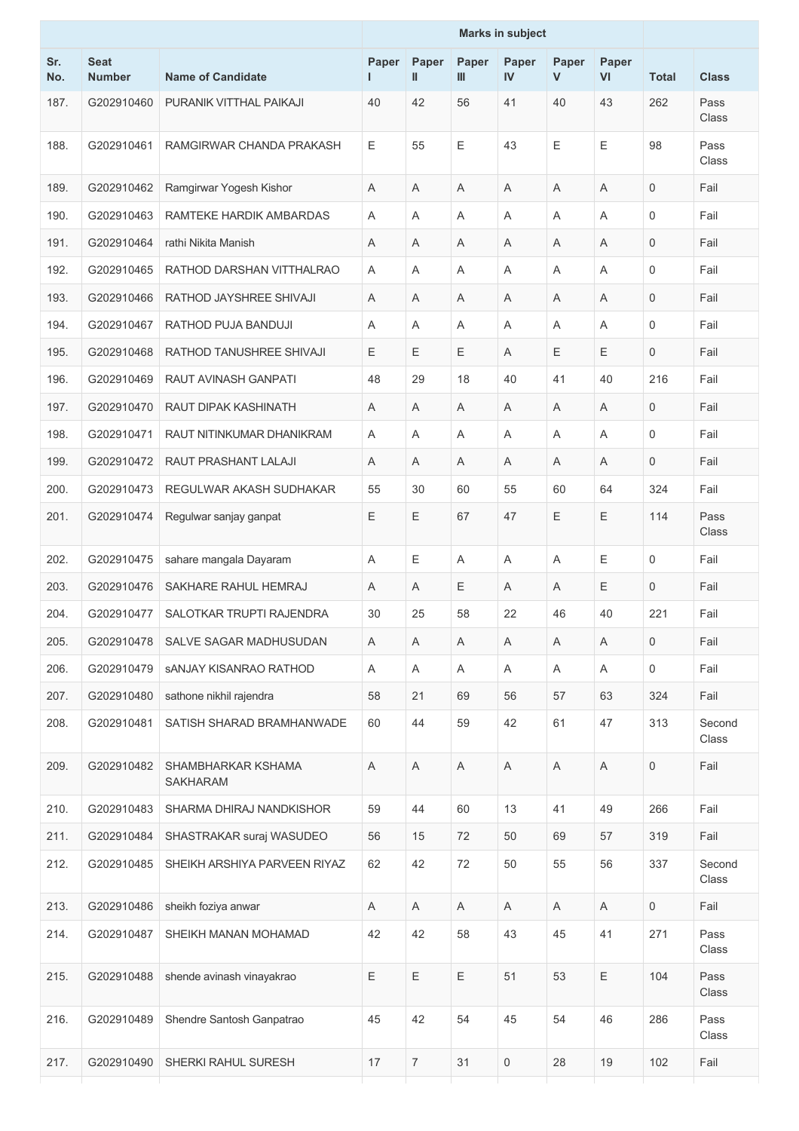|            |                              |                                       |             |                |              | <b>Marks in subject</b> |            |             |                     |                 |
|------------|------------------------------|---------------------------------------|-------------|----------------|--------------|-------------------------|------------|-------------|---------------------|-----------------|
| Sr.<br>No. | <b>Seat</b><br><b>Number</b> | <b>Name of Candidate</b>              | Paper<br>L  | Paper<br>Ш     | Paper<br>III | Paper<br>$\mathbf{N}$   | Paper<br>V | Paper<br>VI | <b>Total</b>        | <b>Class</b>    |
| 187.       | G202910460                   | PURANIK VITTHAL PAIKAJI               | 40          | 42             | 56           | 41                      | 40         | 43          | 262                 | Pass<br>Class   |
| 188.       | G202910461                   | RAMGIRWAR CHANDA PRAKASH              | Ε           | 55             | Ε            | 43                      | E          | Ε           | 98                  | Pass<br>Class   |
| 189.       | G202910462                   | Ramgirwar Yogesh Kishor               | Α           | Α              | A            | Α                       | Α          | A           | 0                   | Fail            |
| 190.       | G202910463                   | RAMTEKE HARDIK AMBARDAS               | A           | A              | A            | A                       | A          | A           | $\mathsf{O}\xspace$ | Fail            |
| 191.       | G202910464                   | rathi Nikita Manish                   | Α           | A              | Α            | A                       | Α          | Α           | 0                   | Fail            |
| 192.       | G202910465                   | RATHOD DARSHAN VITTHALRAO             | Α           | Α              | Α            | A                       | Α          | Α           | $\mathbf 0$         | Fail            |
| 193.       | G202910466                   | RATHOD JAYSHREE SHIVAJI               | Α           | A              | A            | A                       | Α          | Α           | $\mathbf 0$         | Fail            |
| 194.       | G202910467                   | RATHOD PUJA BANDUJI                   | Α           | Α              | Α            | A                       | Α          | Α           | $\mathbf 0$         | Fail            |
| 195.       | G202910468                   | RATHOD TANUSHREE SHIVAJI              | E           | E              | Ε            | A                       | Е          | Ε           | 0                   | Fail            |
| 196.       | G202910469                   | RAUT AVINASH GANPATI                  | 48          | 29             | 18           | 40                      | 41         | 40          | 216                 | Fail            |
| 197.       | G202910470                   | RAUT DIPAK KASHINATH                  | A           | Α              | A            | A                       | Α          | Α           | $\mathsf{O}\xspace$ | Fail            |
| 198.       | G202910471                   | RAUT NITINKUMAR DHANIKRAM             | Α           | Α              | Α            | A                       | Α          | Α           | $\mathbf 0$         | Fail            |
| 199.       | G202910472                   | RAUT PRASHANT LALAJI                  | Α           | Α              | Α            | A                       | A          | Α           | $\mathbf 0$         | Fail            |
| 200.       | G202910473                   | REGULWAR AKASH SUDHAKAR               | 55          | 30             | 60           | 55                      | 60         | 64          | 324                 | Fail            |
| 201.       | G202910474                   | Regulwar sanjay ganpat                | $\mathsf E$ | E              | 67           | 47                      | Ε          | Ε           | 114                 | Pass<br>Class   |
| 202.       | G202910475                   | sahare mangala Dayaram                | Α           | Е              | A            | A                       | Α          | Е           | $\mathbf 0$         | Fail            |
| 203.       | G202910476                   | SAKHARE RAHUL HEMRAJ                  | A           | Α              | Ε            | A                       | Α          | Ε           | 0                   | Fail            |
| 204.       | G202910477                   | SALOTKAR TRUPTI RAJENDRA              | 30          | 25             | 58           | 22                      | 46         | 40          | 221                 | Fail            |
| 205.       | G202910478                   | SALVE SAGAR MADHUSUDAN                | Α           | Α              | Α            | Α                       | A          | Α           | 0                   | Fail            |
| 206.       | G202910479                   | <b>SANJAY KISANRAO RATHOD</b>         | Α           | Α              | Α            | Α                       | A          | Α           | 0                   | Fail            |
| 207.       | G202910480                   | sathone nikhil rajendra               | 58          | 21             | 69           | 56                      | 57         | 63          | 324                 | Fail            |
| 208.       | G202910481                   | SATISH SHARAD BRAMHANWADE             | 60          | 44             | 59           | 42                      | 61         | 47          | 313                 | Second<br>Class |
| 209.       | G202910482                   | SHAMBHARKAR KSHAMA<br><b>SAKHARAM</b> | A           | A              | $\mathsf A$  | A                       | Α          | A           | 0                   | Fail            |
| 210.       | G202910483                   | SHARMA DHIRAJ NANDKISHOR              | 59          | 44             | 60           | 13                      | 41         | 49          | 266                 | Fail            |
| 211.       | G202910484                   | SHASTRAKAR suraj WASUDEO              | 56          | 15             | 72           | 50                      | 69         | 57          | 319                 | Fail            |
| 212.       | G202910485                   | SHEIKH ARSHIYA PARVEEN RIYAZ          | 62          | 42             | 72           | 50                      | 55         | 56          | 337                 | Second<br>Class |
| 213.       | G202910486                   | sheikh foziya anwar                   | Α           | A              | Α            | Α                       | A          | Α           | 0                   | Fail            |
| 214.       | G202910487                   | SHEIKH MANAN MOHAMAD                  | 42          | 42             | 58           | 43                      | 45         | 41          | 271                 | Pass<br>Class   |
| 215.       | G202910488                   | shende avinash vinayakrao             | $\mathsf E$ | E              | Ε            | 51                      | 53         | E           | 104                 | Pass<br>Class   |
| 216.       | G202910489                   | Shendre Santosh Ganpatrao             | 45          | 42             | 54           | 45                      | 54         | 46          | 286                 | Pass<br>Class   |
| 217.       | G202910490                   | SHERKI RAHUL SURESH                   | 17          | $\overline{7}$ | 31           | 0                       | 28         | 19          | 102                 | Fail            |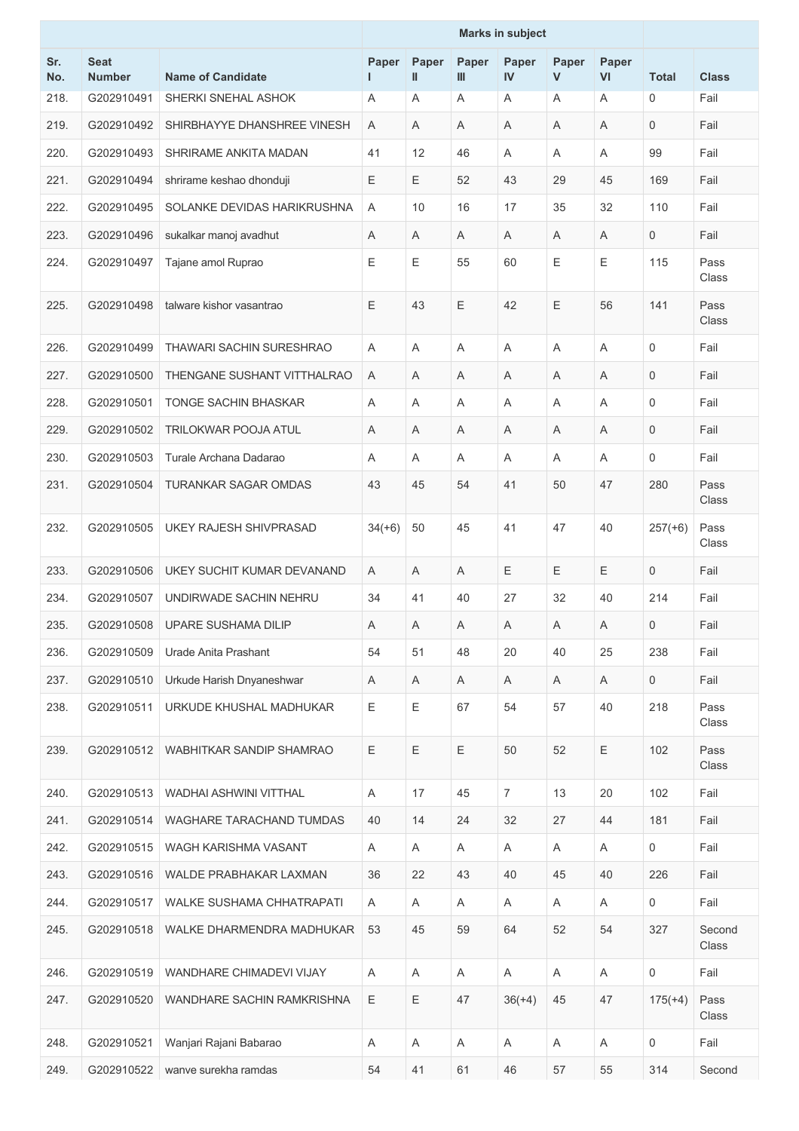|            |                              |                                  | <b>Marks in subject</b> |             |             |             |             |             |                     |                 |
|------------|------------------------------|----------------------------------|-------------------------|-------------|-------------|-------------|-------------|-------------|---------------------|-----------------|
| Sr.<br>No. | <b>Seat</b><br><b>Number</b> | <b>Name of Candidate</b>         | Paper                   | Paper<br>Ш  | Paper<br>Ш  | Paper<br>IV | Paper<br>V  | Paper<br>VI | <b>Total</b>        | <b>Class</b>    |
| 218.       | G202910491                   | SHERKI SNEHAL ASHOK              | Α                       | A           | Α           | A           | Α           | Α           | $\mathbf 0$         | Fail            |
| 219.       | G202910492                   | SHIRBHAYYE DHANSHREE VINESH      | Α                       | A           | Α           | Α           | A           | Α           | $\mathbf 0$         | Fail            |
| 220.       | G202910493                   | SHRIRAME ANKITA MADAN            | 41                      | 12          | 46          | A           | Α           | Α           | 99                  | Fail            |
| 221.       | G202910494                   | shrirame keshao dhonduji         | Е                       | Е           | 52          | 43          | 29          | 45          | 169                 | Fail            |
| 222.       | G202910495                   | SOLANKE DEVIDAS HARIKRUSHNA      | Α                       | 10          | 16          | 17          | 35          | 32          | 110                 | Fail            |
| 223.       | G202910496                   | sukalkar manoj avadhut           | Α                       | A           | Α           | Α           | A           | Α           | $\mathbf 0$         | Fail            |
| 224.       | G202910497                   | Tajane amol Ruprao               | Ε                       | Ε           | 55          | 60          | $\mathsf E$ | Е           | 115                 | Pass<br>Class   |
| 225.       | G202910498                   | talware kishor vasantrao         | E                       | 43          | E           | 42          | E           | 56          | 141                 | Pass<br>Class   |
| 226.       | G202910499                   | <b>THAWARI SACHIN SURESHRAO</b>  | Α                       | A           | A           | Α           | A           | Α           | $\mathbf 0$         | Fail            |
| 227.       | G202910500                   | THENGANE SUSHANT VITTHALRAO      | Α                       | A           | A           | A           | A           | A           | $\mathbf 0$         | Fail            |
| 228.       | G202910501                   | <b>TONGE SACHIN BHASKAR</b>      | Α                       | Α           | Α           | Α           | Α           | Α           | 0                   | Fail            |
| 229.       | G202910502                   | <b>TRILOKWAR POOJA ATUL</b>      | Α                       | A           | Α           | Α           | Α           | A           | $\mathbf 0$         | Fail            |
| 230.       | G202910503                   | Turale Archana Dadarao           | Α                       | A           | Α           | A           | Α           | A           | $\mathbf 0$         | Fail            |
| 231.       | G202910504                   | <b>TURANKAR SAGAR OMDAS</b>      | 43                      | 45          | 54          | 41          | 50          | 47          | 280                 | Pass<br>Class   |
| 232.       | G202910505                   | <b>UKEY RAJESH SHIVPRASAD</b>    | $34(+6)$                | 50          | 45          | 41          | 47          | 40          | $257(+6)$           | Pass<br>Class   |
| 233.       | G202910506                   | UKEY SUCHIT KUMAR DEVANAND       | Α                       | A           | Α           | Ε           | Ε           | Ε           | $\mathbf 0$         | Fail            |
| 234.       | G202910507                   | UNDIRWADE SACHIN NEHRU           | 34                      | 41          | 40          | 27          | 32          | 40          | 214                 | Fail            |
| 235.       |                              | G202910508   UPARE SUSHAMA DILIP | A                       | A           | A           | Α           | A           | A           | 0                   | Fail            |
| 236.       | G202910509                   | Urade Anita Prashant             | 54                      | 51          | 48          | 20          | 40          | 25          | 238                 | Fail            |
| 237.       | G202910510                   | Urkude Harish Dnyaneshwar        | Α                       | Α           | A           | Α           | A           | Α           | $\mathbf 0$         | Fail            |
| 238.       | G202910511                   | URKUDE KHUSHAL MADHUKAR          | E                       | $\mathsf E$ | 67          | 54          | 57          | 40          | 218                 | Pass<br>Class   |
| 239.       | G202910512                   | WABHITKAR SANDIP SHAMRAO         | Ε                       | $\mathsf E$ | $\mathsf E$ | 50          | 52          | Ε           | 102                 | Pass<br>Class   |
| 240.       | G202910513                   | WADHAI ASHWINI VITTHAL           | Α                       | 17          | 45          | 7           | 13          | 20          | 102                 | Fail            |
| 241.       | G202910514                   | WAGHARE TARACHAND TUMDAS         | 40                      | 14          | 24          | 32          | 27          | 44          | 181                 | Fail            |
| 242.       | G202910515                   | WAGH KARISHMA VASANT             | A                       | A           | A           | Α           | A           | Α           | 0                   | Fail            |
| 243.       | G202910516                   | WALDE PRABHAKAR LAXMAN           | 36                      | 22          | 43          | 40          | 45          | 40          | 226                 | Fail            |
| 244.       | G202910517                   | <b>WALKE SUSHAMA CHHATRAPATI</b> | A                       | A           | A           | Α           | A           | Α           | 0                   | Fail            |
| 245.       | G202910518                   | WALKE DHARMENDRA MADHUKAR        | 53                      | 45          | 59          | 64          | 52          | 54          | 327                 | Second<br>Class |
| 246.       | G202910519                   | WANDHARE CHIMADEVI VIJAY         | Α                       | A           | Α           | A           | A           | A           | $\mathsf{O}\xspace$ | Fail            |
| 247.       | G202910520                   | WANDHARE SACHIN RAMKRISHNA       | $\mathsf E$             | Ε           | 47          | $36(+4)$    | 45          | 47          | $175(+4)$           | Pass<br>Class   |
| 248.       | G202910521                   | Wanjari Rajani Babarao           | Α                       | Α           | A           | Α           | A           | Α           | $\mathsf{O}\xspace$ | Fail            |
| 249.       | G202910522                   | wanve surekha ramdas             | 54                      | 41          | 61          | 46          | 57          | 55          | 314                 | Second          |